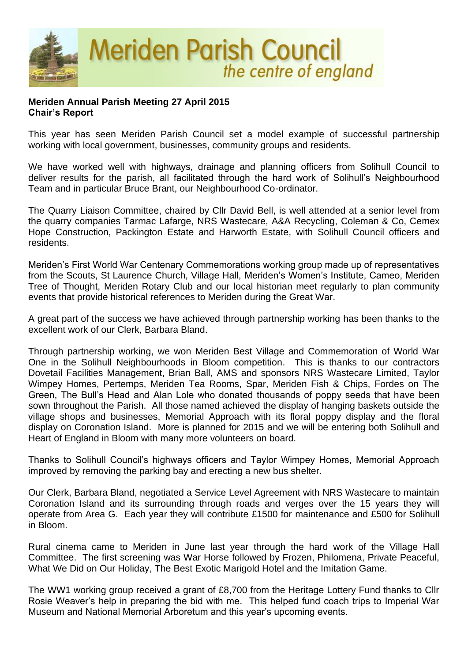

## **Meriden Annual Parish Meeting 27 April 2015 Chair's Report**

This year has seen Meriden Parish Council set a model example of successful partnership working with local government, businesses, community groups and residents.

We have worked well with highways, drainage and planning officers from Solihull Council to deliver results for the parish, all facilitated through the hard work of Solihull's Neighbourhood Team and in particular Bruce Brant, our Neighbourhood Co-ordinator.

The Quarry Liaison Committee, chaired by Cllr David Bell, is well attended at a senior level from the quarry companies Tarmac Lafarge, NRS Wastecare, A&A Recycling, Coleman & Co, Cemex Hope Construction, Packington Estate and Harworth Estate, with Solihull Council officers and residents.

Meriden's First World War Centenary Commemorations working group made up of representatives from the Scouts, St Laurence Church, Village Hall, Meriden's Women's Institute, Cameo, Meriden Tree of Thought, Meriden Rotary Club and our local historian meet regularly to plan community events that provide historical references to Meriden during the Great War.

A great part of the success we have achieved through partnership working has been thanks to the excellent work of our Clerk, Barbara Bland.

Through partnership working, we won Meriden Best Village and Commemoration of World War One in the Solihull Neighbourhoods in Bloom competition. This is thanks to our contractors Dovetail Facilities Management, Brian Ball, AMS and sponsors NRS Wastecare Limited, Taylor Wimpey Homes, Pertemps, Meriden Tea Rooms, Spar, Meriden Fish & Chips, Fordes on The Green, The Bull's Head and Alan Lole who donated thousands of poppy seeds that have been sown throughout the Parish. All those named achieved the display of hanging baskets outside the village shops and businesses, Memorial Approach with its floral poppy display and the floral display on Coronation Island. More is planned for 2015 and we will be entering both Solihull and Heart of England in Bloom with many more volunteers on board.

Thanks to Solihull Council's highways officers and Taylor Wimpey Homes, Memorial Approach improved by removing the parking bay and erecting a new bus shelter.

Our Clerk, Barbara Bland, negotiated a Service Level Agreement with NRS Wastecare to maintain Coronation Island and its surrounding through roads and verges over the 15 years they will operate from Area G. Each year they will contribute £1500 for maintenance and £500 for Solihull in Bloom.

Rural cinema came to Meriden in June last year through the hard work of the Village Hall Committee. The first screening was War Horse followed by Frozen, Philomena, Private Peaceful, What We Did on Our Holiday, The Best Exotic Marigold Hotel and the Imitation Game.

The WW1 working group received a grant of £8,700 from the Heritage Lottery Fund thanks to Cllr Rosie Weaver's help in preparing the bid with me. This helped fund coach trips to Imperial War Museum and National Memorial Arboretum and this year's upcoming events.